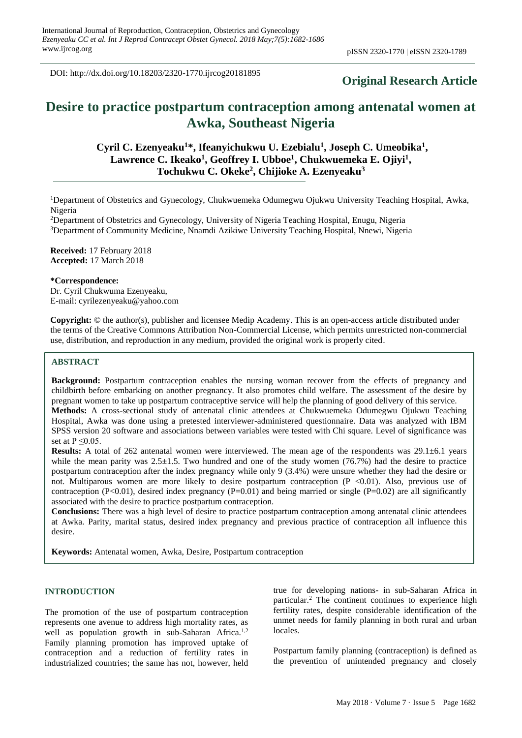DOI: http://dx.doi.org/10.18203/2320-1770.ijrcog20181895

# **Original Research Article**

# **Desire to practice postpartum contraception among antenatal women at Awka, Southeast Nigeria**

# **Cyril C. Ezenyeaku<sup>1</sup>\*, Ifeanyichukwu U. Ezebialu<sup>1</sup> , Joseph C. Umeobika<sup>1</sup> , Lawrence C. Ikeako<sup>1</sup> , Geoffrey I. Ubboe<sup>1</sup> , Chukwuemeka E. Ojiyi<sup>1</sup> , Tochukwu C. Okeke<sup>2</sup> , Chijioke A. Ezenyeaku<sup>3</sup>**

<sup>1</sup>Department of Obstetrics and Gynecology, Chukwuemeka Odumegwu Ojukwu University Teaching Hospital, Awka, Nigeria

<sup>2</sup>Department of Obstetrics and Gynecology, University of Nigeria Teaching Hospital, Enugu, Nigeria <sup>3</sup>Department of Community Medicine, Nnamdi Azikiwe University Teaching Hospital, Nnewi, Nigeria

**Received:** 17 February 2018 **Accepted:** 17 March 2018

#### **\*Correspondence:**

Dr. Cyril Chukwuma Ezenyeaku, E-mail: cyrilezenyeaku@yahoo.com

**Copyright:** © the author(s), publisher and licensee Medip Academy. This is an open-access article distributed under the terms of the Creative Commons Attribution Non-Commercial License, which permits unrestricted non-commercial use, distribution, and reproduction in any medium, provided the original work is properly cited.

## **ABSTRACT**

set at  $P \le 0.05$ .

**Background:** Postpartum contraception enables the nursing woman recover from the effects of pregnancy and childbirth before embarking on another pregnancy. It also promotes child welfare. The assessment of the desire by pregnant women to take up postpartum contraceptive service will help the planning of good delivery of this service. **Methods:** A cross-sectional study of antenatal clinic attendees at Chukwuemeka Odumegwu Ojukwu Teaching Hospital, Awka was done using a pretested interviewer-administered questionnaire. Data was analyzed with IBM SPSS version 20 software and associations between variables were tested with Chi square. Level of significance was

**Results:** A total of 262 antenatal women were interviewed. The mean age of the respondents was 29.1±6.1 years while the mean parity was  $2.5 \pm 1.5$ . Two hundred and one of the study women (76.7%) had the desire to practice postpartum contraception after the index pregnancy while only 9 (3.4%) were unsure whether they had the desire or not. Multiparous women are more likely to desire postpartum contraception  $(P \le 0.01)$ . Also, previous use of contraception  $(P<0.01)$ , desired index pregnancy  $(P=0.01)$  and being married or single  $(P=0.02)$  are all significantly associated with the desire to practice postpartum contraception.

**Conclusions:** There was a high level of desire to practice postpartum contraception among antenatal clinic attendees at Awka. Parity, marital status, desired index pregnancy and previous practice of contraception all influence this desire.

**Keywords:** Antenatal women, Awka, Desire, Postpartum contraception

## **INTRODUCTION**

The promotion of the use of postpartum contraception represents one avenue to address high mortality rates, as well as population growth in sub-Saharan Africa.<sup>1,2</sup> Family planning promotion has improved uptake of contraception and a reduction of fertility rates in industrialized countries; the same has not, however, held true for developing nations- in sub-Saharan Africa in particular.<sup>2</sup> The continent continues to experience high fertility rates, despite considerable identification of the unmet needs for family planning in both rural and urban locales.

Postpartum family planning (contraception) is defined as the prevention of unintended pregnancy and closely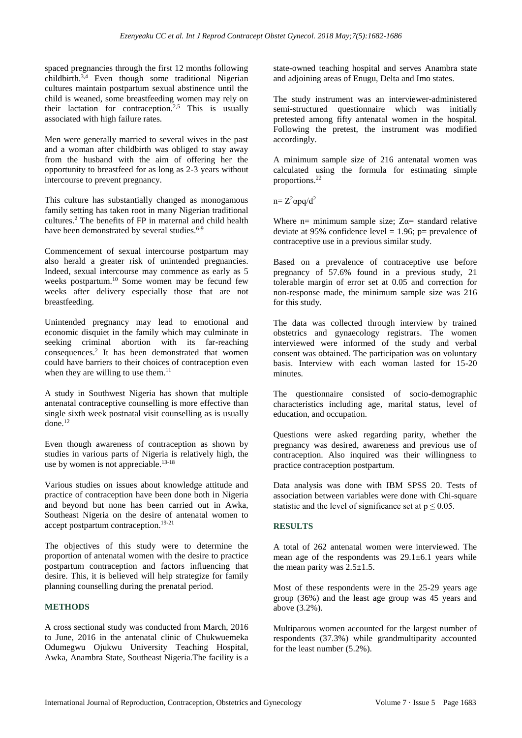spaced pregnancies through the first 12 months following childbirth.3,4 Even though some traditional Nigerian cultures maintain postpartum sexual abstinence until the child is weaned, some breastfeeding women may rely on their lactation for contraception.<sup>2,5</sup> This is usually associated with high failure rates.

Men were generally married to several wives in the past and a woman after childbirth was obliged to stay away from the husband with the aim of offering her the opportunity to breastfeed for as long as 2-3 years without intercourse to prevent pregnancy.

This culture has substantially changed as monogamous family setting has taken root in many Nigerian traditional cultures.<sup>2</sup> The benefits of FP in maternal and child health have been demonstrated by several studies.<sup>6-9</sup>

Commencement of sexual intercourse postpartum may also herald a greater risk of unintended pregnancies. Indeed, sexual intercourse may commence as early as 5 weeks postpartum.<sup>10</sup> Some women may be fecund few weeks after delivery especially those that are not breastfeeding.

Unintended pregnancy may lead to emotional and economic disquiet in the family which may culminate in seeking criminal abortion with its far-reaching consequences.<sup>2</sup> It has been demonstrated that women could have barriers to their choices of contraception even when they are willing to use them. $^{11}$ 

A study in Southwest Nigeria has shown that multiple antenatal contraceptive counselling is more effective than single sixth week postnatal visit counselling as is usually done.<sup>12</sup>

Even though awareness of contraception as shown by studies in various parts of Nigeria is relatively high, the use by women is not appreciable.<sup>13-18</sup>

Various studies on issues about knowledge attitude and practice of contraception have been done both in Nigeria and beyond but none has been carried out in Awka, Southeast Nigeria on the desire of antenatal women to accept postpartum contraception.19-21

The objectives of this study were to determine the proportion of antenatal women with the desire to practice postpartum contraception and factors influencing that desire. This, it is believed will help strategize for family planning counselling during the prenatal period.

## **METHODS**

A cross sectional study was conducted from March, 2016 to June, 2016 in the antenatal clinic of Chukwuemeka Odumegwu Ojukwu University Teaching Hospital, Awka, Anambra State, Southeast Nigeria.The facility is a state-owned teaching hospital and serves Anambra state and adjoining areas of Enugu, Delta and Imo states.

The study instrument was an interviewer-administered semi-structured questionnaire which was initially pretested among fifty antenatal women in the hospital. Following the pretest, the instrument was modified accordingly.

A minimum sample size of 216 antenatal women was calculated using the formula for estimating simple proportions. 22

 $n= Z<sup>2</sup>$ αpq/d<sup>2</sup>

Where n= minimum sample size;  $Z\alpha$ = standard relative deviate at 95% confidence level = 1.96;  $p=$  prevalence of contraceptive use in a previous similar study.

Based on a prevalence of contraceptive use before pregnancy of 57.6% found in a previous study, 21 tolerable margin of error set at 0.05 and correction for non-response made, the minimum sample size was 216 for this study.

The data was collected through interview by trained obstetrics and gynaecology registrars. The women interviewed were informed of the study and verbal consent was obtained. The participation was on voluntary basis. Interview with each woman lasted for 15-20 minutes.

The questionnaire consisted of socio-demographic characteristics including age, marital status, level of education, and occupation.

Questions were asked regarding parity, whether the pregnancy was desired, awareness and previous use of contraception. Also inquired was their willingness to practice contraception postpartum.

Data analysis was done with IBM SPSS 20. Tests of association between variables were done with Chi-square statistic and the level of significance set at  $p \le 0.05$ .

## **RESULTS**

A total of 262 antenatal women were interviewed. The mean age of the respondents was 29.1±6.1 years while the mean parity was  $2.5 \pm 1.5$ .

Most of these respondents were in the 25-29 years age group (36%) and the least age group was 45 years and above (3.2%).

Multiparous women accounted for the largest number of respondents (37.3%) while grandmultiparity accounted for the least number (5.2%).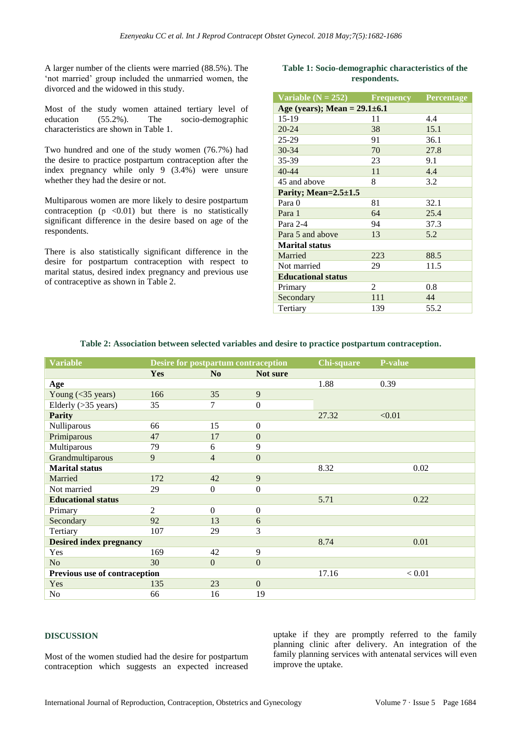A larger number of the clients were married (88.5%). The 'not married' group included the unmarried women, the divorced and the widowed in this study.

Most of the study women attained tertiary level of education (55.2%). The socio-demographic education (55.2%). The socio-demographic characteristics are shown in Table 1.

Two hundred and one of the study women (76.7%) had the desire to practice postpartum contraception after the index pregnancy while only 9 (3.4%) were unsure whether they had the desire or not.

Multiparous women are more likely to desire postpartum contraception  $(p \le 0.01)$  but there is no statistically significant difference in the desire based on age of the respondents.

There is also statistically significant difference in the desire for postpartum contraception with respect to marital status, desired index pregnancy and previous use of contraceptive as shown in Table 2.

## **Table 1: Socio-demographic characteristics of the respondents.**

| Variable $(N = 252)$               | <b>Frequency</b> | Percentage |  |  |  |  |
|------------------------------------|------------------|------------|--|--|--|--|
| Age (years); Mean = $29.1 \pm 6.1$ |                  |            |  |  |  |  |
| 15-19                              | 11               | 4.4        |  |  |  |  |
| $20 - 24$                          | 38               | 15.1       |  |  |  |  |
| $25 - 29$                          | 91               | 36.1       |  |  |  |  |
| $30 - 34$                          | 70               | 27.8       |  |  |  |  |
| 35-39                              | 23               | 9.1        |  |  |  |  |
| $40 - 44$                          | 11               | 4.4        |  |  |  |  |
| 45 and above                       | 8                | 3.2        |  |  |  |  |
| Parity; Mean= $2.5 \pm 1.5$        |                  |            |  |  |  |  |
| Para 0                             | 81               | 32.1       |  |  |  |  |
| Para 1                             | 64               | 25.4       |  |  |  |  |
| Para 2-4                           | 94               | 37.3       |  |  |  |  |
| Para 5 and above                   | 13               | 5.2        |  |  |  |  |
| <b>Marital status</b>              |                  |            |  |  |  |  |
| Married                            | 223              | 88.5       |  |  |  |  |
| Not married                        | 29               | 11.5       |  |  |  |  |
| <b>Educational status</b>          |                  |            |  |  |  |  |
| Primary                            | 2                | 0.8        |  |  |  |  |
| Secondary                          | 111              | 44         |  |  |  |  |
| Tertiary                           | 139              | 55.2       |  |  |  |  |

#### **Table 2: Association between selected variables and desire to practice postpartum contraception.**

| <b>Variable</b>                | <b>Desire for postpartum contraception</b> |                  | <b>Chi-square</b> | <b>P-value</b> |        |
|--------------------------------|--------------------------------------------|------------------|-------------------|----------------|--------|
|                                | <b>Yes</b>                                 | N <sub>0</sub>   | Not sure          |                |        |
| Age                            |                                            |                  |                   | 1.88           | 0.39   |
| Young $(<$ 35 years)           | 166                                        | 35               | 9                 |                |        |
| Elderly $($ >35 years $)$      | 35                                         | 7                | $\theta$          |                |        |
| <b>Parity</b>                  |                                            |                  |                   | 27.32          | < 0.01 |
| Nulliparous                    | 66                                         | 15               | $\mathbf{0}$      |                |        |
| Primiparous                    | 47                                         | 17               | $\mathbf{0}$      |                |        |
| Multiparous                    | 79                                         | 6                | 9                 |                |        |
| Grandmultiparous               | 9                                          | 4                | $\mathbf{0}$      |                |        |
| <b>Marital</b> status          |                                            |                  |                   | 8.32           | 0.02   |
| Married                        | 172                                        | 42               | 9                 |                |        |
| Not married                    | 29                                         | $\boldsymbol{0}$ | $\boldsymbol{0}$  |                |        |
| <b>Educational status</b>      |                                            |                  |                   | 5.71           | 0.22   |
| Primary                        | $\overline{2}$                             | $\theta$         | $\boldsymbol{0}$  |                |        |
| Secondary                      | 92                                         | 13               | 6                 |                |        |
| Tertiary                       | 107                                        | 29               | 3                 |                |        |
| <b>Desired index pregnancy</b> |                                            |                  |                   | 8.74           | 0.01   |
| Yes                            | 169                                        | 42               | 9                 |                |        |
| N <sub>o</sub>                 | 30                                         | $\overline{0}$   | $\mathbf{0}$      |                |        |
| Previous use of contraception  |                                            |                  |                   | 17.16          | < 0.01 |
| Yes                            | 135                                        | 23               | $\mathbf{0}$      |                |        |
| No                             | 66                                         | 16               | 19                |                |        |

#### **DISCUSSION**

Most of the women studied had the desire for postpartum contraception which suggests an expected increased uptake if they are promptly referred to the family planning clinic after delivery. An integration of the family planning services with antenatal services will even improve the uptake.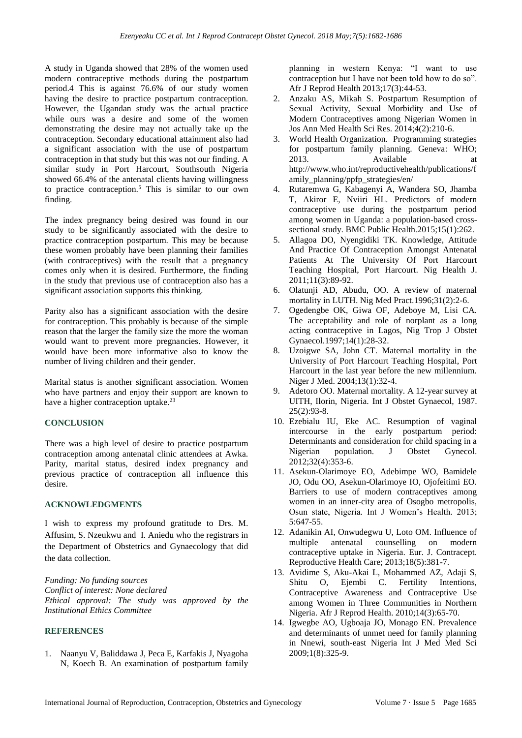A study in Uganda showed that 28% of the women used modern contraceptive methods during the postpartum period.4 This is against 76.6% of our study women having the desire to practice postpartum contraception. However, the Ugandan study was the actual practice while ours was a desire and some of the women demonstrating the desire may not actually take up the contraception. Secondary educational attainment also had a significant association with the use of postpartum contraception in that study but this was not our finding. A similar study in Port Harcourt, Southsouth Nigeria showed 66.4% of the antenatal clients having willingness to practice contraception.<sup>5</sup> This is similar to our own finding.

The index pregnancy being desired was found in our study to be significantly associated with the desire to practice contraception postpartum. This may be because these women probably have been planning their families (with contraceptives) with the result that a pregnancy comes only when it is desired. Furthermore, the finding in the study that previous use of contraception also has a significant association supports this thinking.

Parity also has a significant association with the desire for contraception. This probably is because of the simple reason that the larger the family size the more the woman would want to prevent more pregnancies. However, it would have been more informative also to know the number of living children and their gender.

Marital status is another significant association. Women who have partners and enjoy their support are known to have a higher contraception uptake.<sup>23</sup>

## **CONCLUSION**

There was a high level of desire to practice postpartum contraception among antenatal clinic attendees at Awka. Parity, marital status, desired index pregnancy and previous practice of contraception all influence this desire.

## **ACKNOWLEDGMENTS**

I wish to express my profound gratitude to Drs. M. Affusim, S. Nzeukwu and I. Aniedu who the registrars in the Department of Obstetrics and Gynaecology that did the data collection.

*Funding: No funding sources Conflict of interest: None declared Ethical approval: The study was approved by the Institutional Ethics Committee*

## **REFERENCES**

1. Naanyu V, Baliddawa J, Peca E, Karfakis J, Nyagoha N, Koech B. An examination of postpartum family planning in western Kenya: "I want to use contraception but I have not been told how to do so". Afr J Reprod Health 2013;17(3):44-53.

- 2. Anzaku AS, Mikah S. Postpartum Resumption of Sexual Activity, Sexual Morbidity and Use of Modern Contraceptives among Nigerian Women in Jos Ann Med Health Sci Res. 2014;4(2):210-6.
- 3. World Health Organization. Programming strategies for postpartum family planning. Geneva: WHO; 2013. Available at http://www.who.int/reproductivehealth/publications/f amily\_planning/ppfp\_strategies/en/
- 4. Rutaremwa G, Kabagenyi A, Wandera SO, Jhamba T, Akiror E, Nviiri HL. Predictors of modern contraceptive use during the postpartum period among women in Uganda: a population-based crosssectional study. BMC Public Health.2015;15(1):262.
- 5. Allagoa DO, Nyengidiki TK. Knowledge, Attitude And Practice Of Contraception Amongst Antenatal Patients At The University Of Port Harcourt Teaching Hospital, Port Harcourt. Nig Health J. 2011;11(3):89-92.
- 6. Olatunji AD, Abudu, OO. A review of maternal mortality in LUTH. Nig Med Pract.1996;31(2):2-6.
- 7. Ogedengbe OK, Giwa OF, Adeboye M, Lisi CA. The acceptability and role of norplant as a long acting contraceptive in Lagos, Nig Trop J Obstet Gynaecol.1997;14(1):28-32.
- 8. Uzoigwe SA, John CT. Maternal mortality in the University of Port Harcourt Teaching Hospital, Port Harcourt in the last year before the new millennium. Niger J Med. 2004;13(1):32-4.
- 9. Adetoro OO. Maternal mortality. A 12-year survey at UITH, Ilorin, Nigeria. Int J Obstet Gynaecol, 1987. 25(2):93-8.
- 10. Ezebialu IU, Eke AC. Resumption of vaginal intercourse in the early postpartum period: Determinants and consideration for child spacing in a Nigerian population. J Obstet Gynecol. 2012;32(4):353-6.
- 11. Asekun-Olarimoye EO, Adebimpe WO, Bamidele JO, Odu OO, Asekun-Olarimoye IO, Ojofeitimi EO. Barriers to use of modern contraceptives among women in an inner-city area of Osogbo metropolis, Osun state, Nigeria. Int J Women's Health. 2013; 5:647-55.
- 12. Adanikin AI, Onwudegwu U, Loto OM. Influence of multiple antenatal counselling on modern contraceptive uptake in Nigeria. Eur. J. Contracept. Reproductive Health Care; 2013;18(5):381-7.
- 13. Avidime S, Aku-Akai L, Mohammed AZ, Adaji S, Shitu O, Ejembi C. Fertility Intentions, Contraceptive Awareness and Contraceptive Use among Women in Three Communities in Northern Nigeria. Afr J Reprod Health. 2010;14(3):65-70.
- 14. Igwegbe AO, Ugboaja JO, Monago EN. Prevalence and determinants of unmet need for family planning in Nnewi, south-east Nigeria Int J Med Med Sci 2009;1(8):325-9.